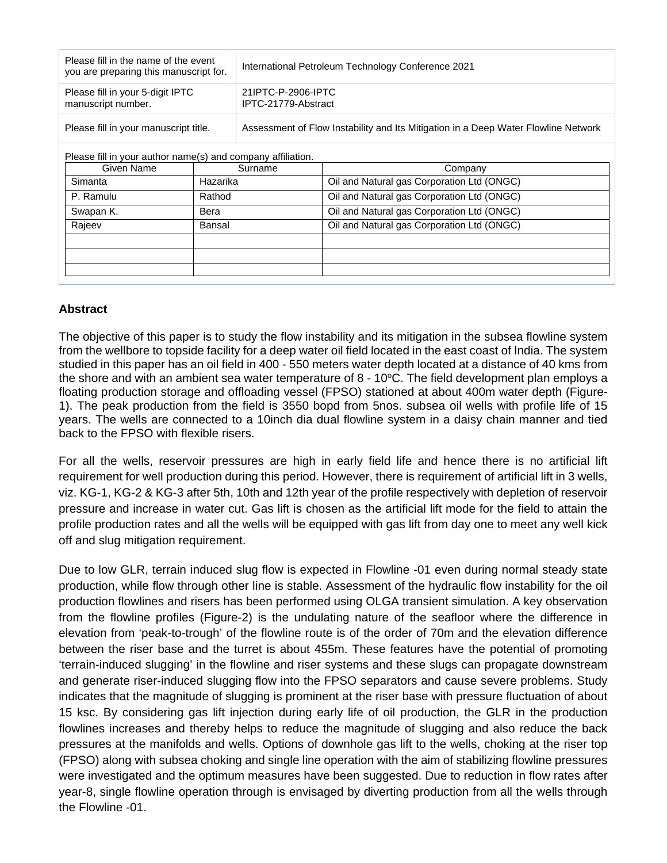| Please fill in the name of the event<br>you are preparing this manuscript for. | International Petroleum Technology Conference 2021                                 |  |
|--------------------------------------------------------------------------------|------------------------------------------------------------------------------------|--|
| Please fill in your 5-digit IPTC<br>manuscript number.                         | 21IPTC-P-2906-IPTC<br>IPTC-21779-Abstract                                          |  |
| Please fill in your manuscript title.                                          | Assessment of Flow Instability and Its Mitigation in a Deep Water Flowline Network |  |

Please fill in your author name(s) and company affiliation.

| Surname  | Company                                    |
|----------|--------------------------------------------|
| Hazarika | Oil and Natural gas Corporation Ltd (ONGC) |
| Rathod   | Oil and Natural gas Corporation Ltd (ONGC) |
| Bera     | Oil and Natural gas Corporation Ltd (ONGC) |
| Bansal   | Oil and Natural gas Corporation Ltd (ONGC) |
|          |                                            |
|          |                                            |
|          |                                            |
|          |                                            |

## **Abstract**

The objective of this paper is to study the flow instability and its mitigation in the subsea flowline system from the wellbore to topside facility for a deep water oil field located in the east coast of India. The system studied in this paper has an oil field in 400 - 550 meters water depth located at a distance of 40 kms from the shore and with an ambient sea water temperature of  $8 - 10^{\circ}$ C. The field development plan employs a floating production storage and offloading vessel (FPSO) stationed at about 400m water depth (Figure-1). The peak production from the field is 3550 bopd from 5nos. subsea oil wells with profile life of 15 years. The wells are connected to a 10inch dia dual flowline system in a daisy chain manner and tied back to the FPSO with flexible risers.

For all the wells, reservoir pressures are high in early field life and hence there is no artificial lift requirement for well production during this period. However, there is requirement of artificial lift in 3 wells, viz. KG-1, KG-2 & KG-3 after 5th, 10th and 12th year of the profile respectively with depletion of reservoir pressure and increase in water cut. Gas lift is chosen as the artificial lift mode for the field to attain the profile production rates and all the wells will be equipped with gas lift from day one to meet any well kick off and slug mitigation requirement.

Due to low GLR, terrain induced slug flow is expected in Flowline -01 even during normal steady state production, while flow through other line is stable. Assessment of the hydraulic flow instability for the oil production flowlines and risers has been performed using OLGA transient simulation. A key observation from the flowline profiles (Figure-2) is the undulating nature of the seafloor where the difference in elevation from 'peak-to-trough' of the flowline route is of the order of 70m and the elevation difference between the riser base and the turret is about 455m. These features have the potential of promoting 'terrain-induced slugging' in the flowline and riser systems and these slugs can propagate downstream and generate riser-induced slugging flow into the FPSO separators and cause severe problems. Study indicates that the magnitude of slugging is prominent at the riser base with pressure fluctuation of about 15 ksc. By considering gas lift injection during early life of oil production, the GLR in the production flowlines increases and thereby helps to reduce the magnitude of slugging and also reduce the back pressures at the manifolds and wells. Options of downhole gas lift to the wells, choking at the riser top (FPSO) along with subsea choking and single line operation with the aim of stabilizing flowline pressures were investigated and the optimum measures have been suggested. Due to reduction in flow rates after year-8, single flowline operation through is envisaged by diverting production from all the wells through the Flowline -01.